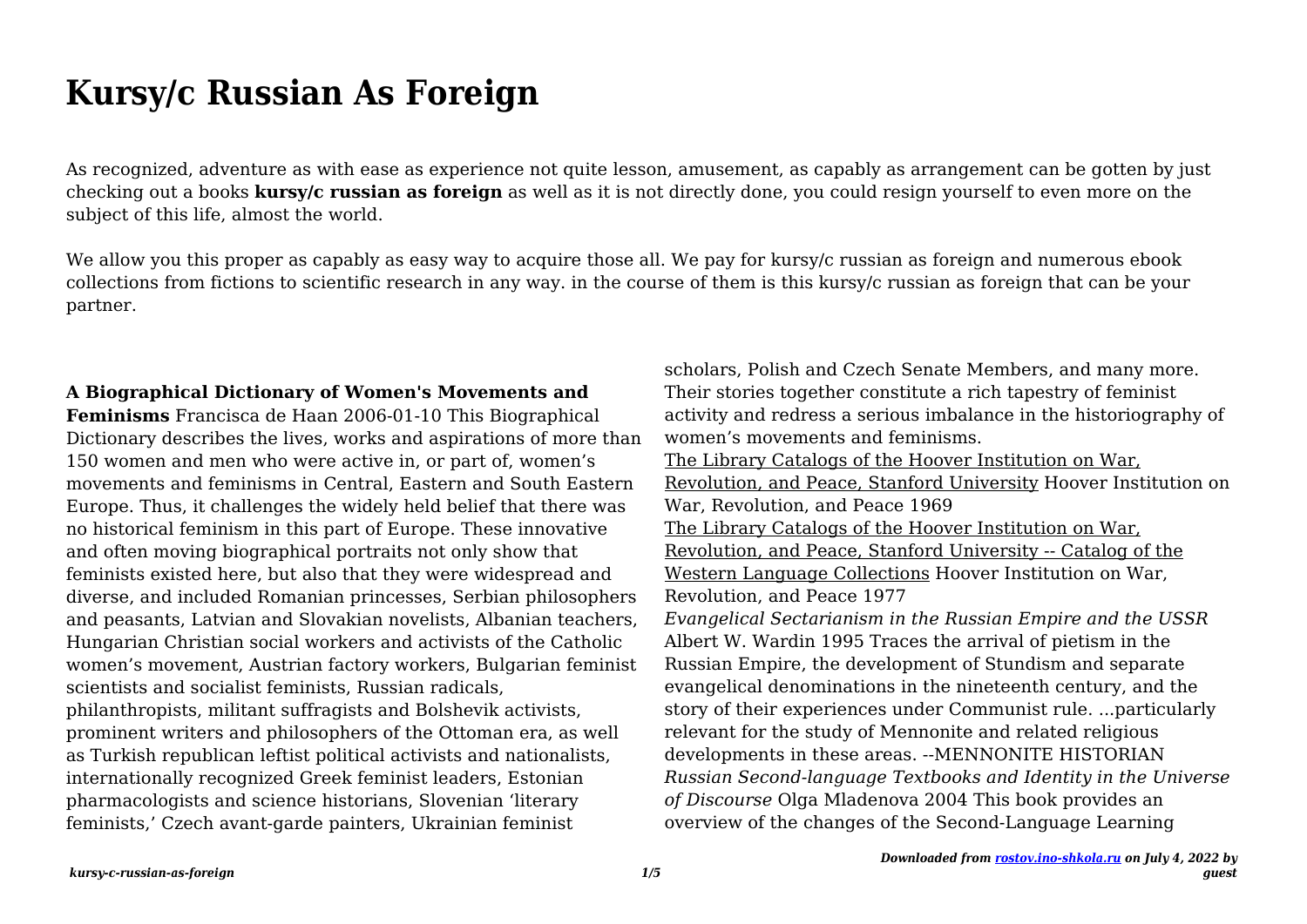# **Kursy/c Russian As Foreign**

As recognized, adventure as with ease as experience not quite lesson, amusement, as capably as arrangement can be gotten by just checking out a books **kursy/c russian as foreign** as well as it is not directly done, you could resign yourself to even more on the subject of this life, almost the world.

We allow you this proper as capably as easy way to acquire those all. We pay for kursy/c russian as foreign and numerous ebook collections from fictions to scientific research in any way. in the course of them is this kursy/c russian as foreign that can be your partner.

### **A Biographical Dictionary of Women's Movements and**

**Feminisms** Francisca de Haan 2006-01-10 This Biographical Dictionary describes the lives, works and aspirations of more than 150 women and men who were active in, or part of, women's movements and feminisms in Central, Eastern and South Eastern Europe. Thus, it challenges the widely held belief that there was no historical feminism in this part of Europe. These innovative and often moving biographical portraits not only show that feminists existed here, but also that they were widespread and diverse, and included Romanian princesses, Serbian philosophers and peasants, Latvian and Slovakian novelists, Albanian teachers, Hungarian Christian social workers and activists of the Catholic women's movement, Austrian factory workers, Bulgarian feminist scientists and socialist feminists, Russian radicals, philanthropists, militant suffragists and Bolshevik activists, prominent writers and philosophers of the Ottoman era, as well as Turkish republican leftist political activists and nationalists, internationally recognized Greek feminist leaders, Estonian pharmacologists and science historians, Slovenian 'literary feminists,' Czech avant-garde painters, Ukrainian feminist

scholars, Polish and Czech Senate Members, and many more. Their stories together constitute a rich tapestry of feminist activity and redress a serious imbalance in the historiography of women's movements and feminisms. The Library Catalogs of the Hoover Institution on War, Revolution, and Peace, Stanford University Hoover Institution on War, Revolution, and Peace 1969 The Library Catalogs of the Hoover Institution on War, Revolution, and Peace, Stanford University -- Catalog of the Western Language Collections Hoover Institution on War, Revolution, and Peace 1977 *Evangelical Sectarianism in the Russian Empire and the USSR* Albert W. Wardin 1995 Traces the arrival of pietism in the Russian Empire, the development of Stundism and separate evangelical denominations in the nineteenth century, and the story of their experiences under Communist rule. ...particularly relevant for the study of Mennonite and related religious developments in these areas. --MENNONITE HISTORIAN *Russian Second-language Textbooks and Identity in the Universe of Discourse* Olga Mladenova 2004 This book provides an overview of the changes of the Second-Language Learning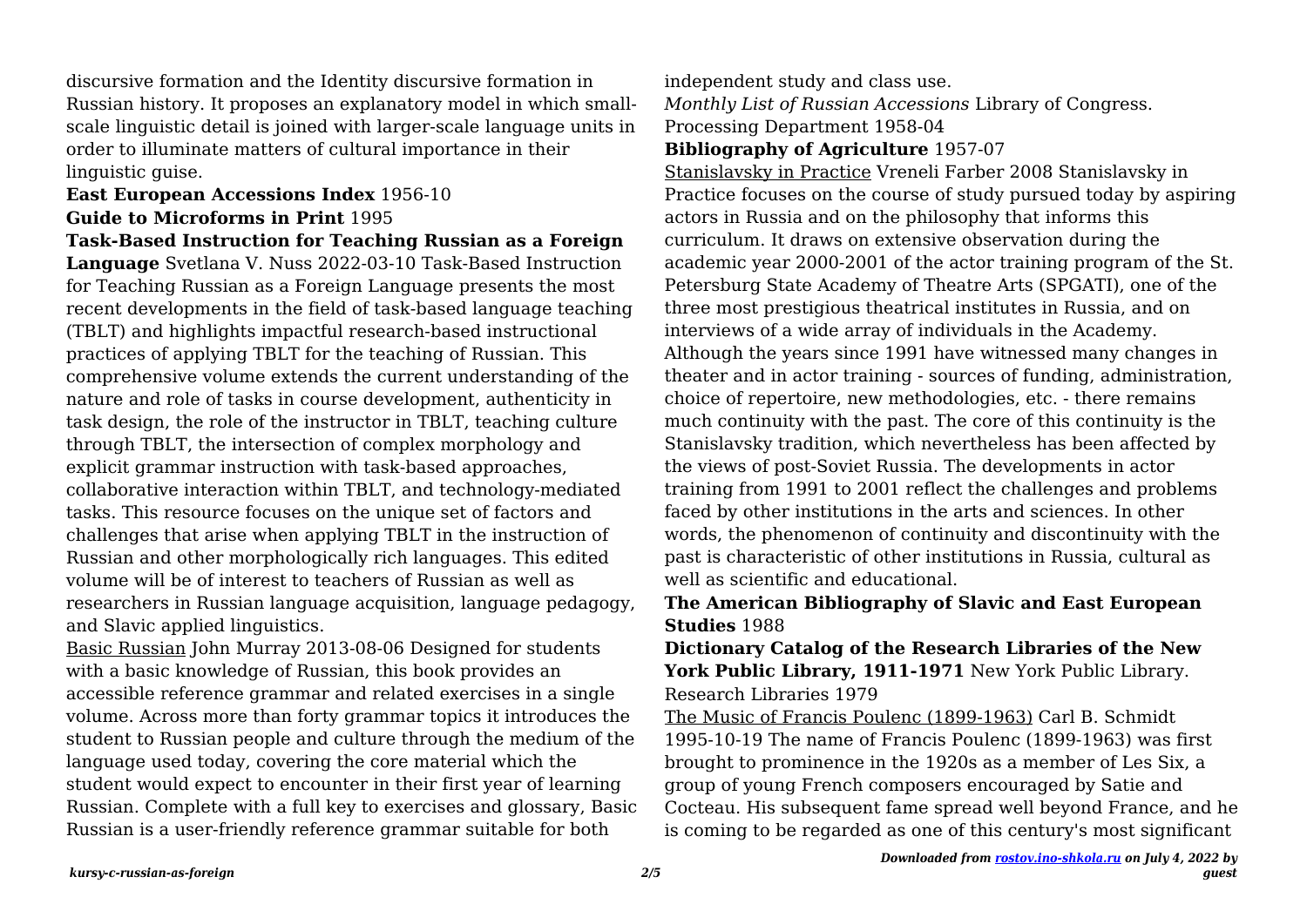discursive formation and the Identity discursive formation in Russian history. It proposes an explanatory model in which smallscale linguistic detail is joined with larger-scale language units in order to illuminate matters of cultural importance in their linguistic guise.

## **East European Accessions Index** 1956-10 **Guide to Microforms in Print** 1995

**Task-Based Instruction for Teaching Russian as a Foreign Language** Svetlana V. Nuss 2022-03-10 Task-Based Instruction for Teaching Russian as a Foreign Language presents the most recent developments in the field of task-based language teaching (TBLT) and highlights impactful research-based instructional practices of applying TBLT for the teaching of Russian. This comprehensive volume extends the current understanding of the nature and role of tasks in course development, authenticity in task design, the role of the instructor in TBLT, teaching culture through TBLT, the intersection of complex morphology and explicit grammar instruction with task-based approaches, collaborative interaction within TBLT, and technology-mediated tasks. This resource focuses on the unique set of factors and challenges that arise when applying TBLT in the instruction of Russian and other morphologically rich languages. This edited volume will be of interest to teachers of Russian as well as researchers in Russian language acquisition, language pedagogy, and Slavic applied linguistics.

Basic Russian John Murray 2013-08-06 Designed for students with a basic knowledge of Russian, this book provides an accessible reference grammar and related exercises in a single volume. Across more than forty grammar topics it introduces the student to Russian people and culture through the medium of the language used today, covering the core material which the student would expect to encounter in their first year of learning Russian. Complete with a full key to exercises and glossary, Basic Russian is a user-friendly reference grammar suitable for both

independent study and class use.

*Monthly List of Russian Accessions* Library of Congress. Processing Department 1958-04

## **Bibliography of Agriculture** 1957-07

Stanislavsky in Practice Vreneli Farber 2008 Stanislavsky in Practice focuses on the course of study pursued today by aspiring actors in Russia and on the philosophy that informs this curriculum. It draws on extensive observation during the academic year 2000-2001 of the actor training program of the St. Petersburg State Academy of Theatre Arts (SPGATI), one of the three most prestigious theatrical institutes in Russia, and on interviews of a wide array of individuals in the Academy. Although the years since 1991 have witnessed many changes in theater and in actor training - sources of funding, administration, choice of repertoire, new methodologies, etc. - there remains much continuity with the past. The core of this continuity is the Stanislavsky tradition, which nevertheless has been affected by the views of post-Soviet Russia. The developments in actor training from 1991 to 2001 reflect the challenges and problems faced by other institutions in the arts and sciences. In other words, the phenomenon of continuity and discontinuity with the past is characteristic of other institutions in Russia, cultural as well as scientific and educational.

## **The American Bibliography of Slavic and East European Studies** 1988

**Dictionary Catalog of the Research Libraries of the New York Public Library, 1911-1971** New York Public Library. Research Libraries 1979

The Music of Francis Poulenc (1899-1963) Carl B. Schmidt 1995-10-19 The name of Francis Poulenc (1899-1963) was first brought to prominence in the 1920s as a member of Les Six, a group of young French composers encouraged by Satie and Cocteau. His subsequent fame spread well beyond France, and he is coming to be regarded as one of this century's most significant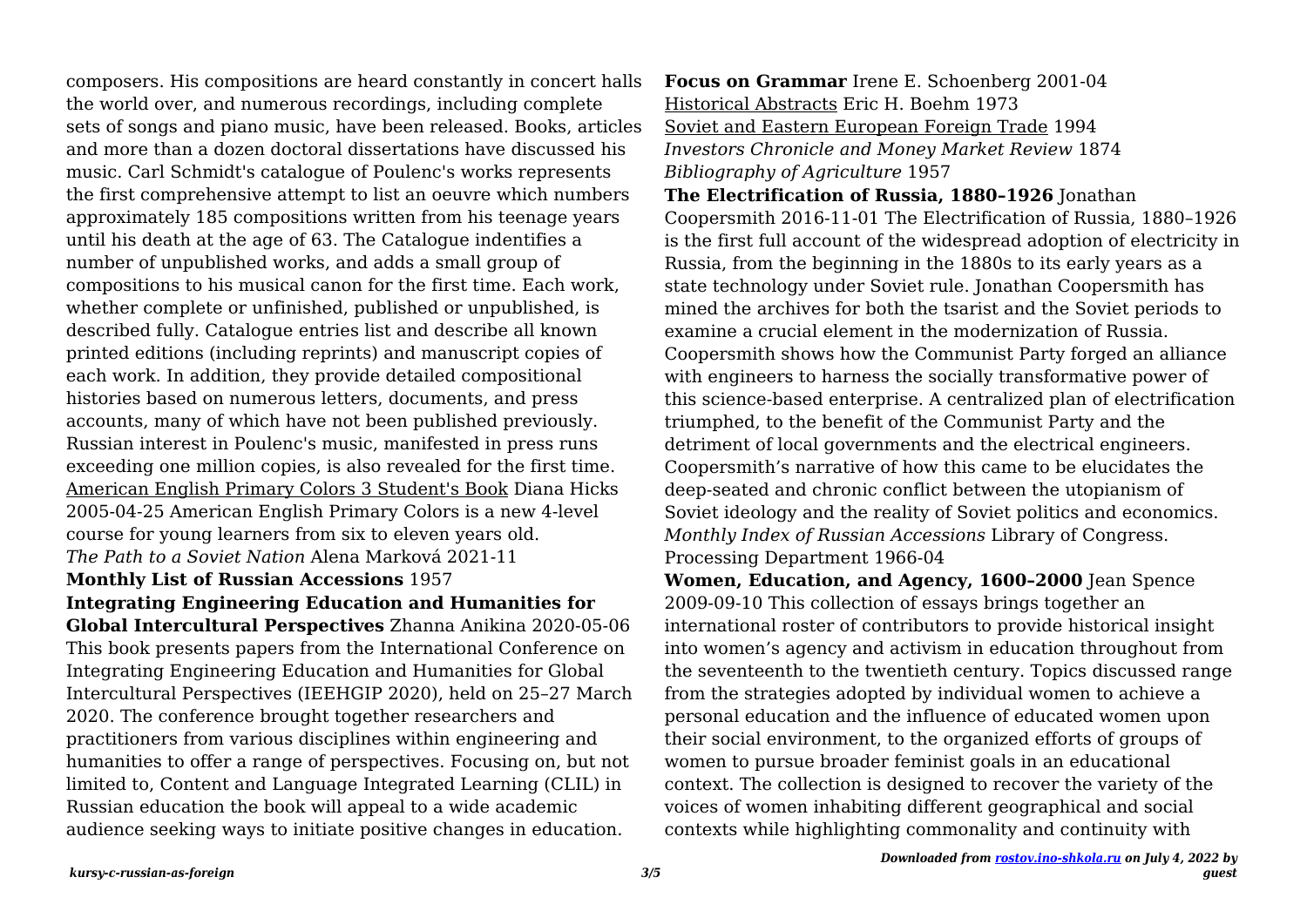composers. His compositions are heard constantly in concert halls the world over, and numerous recordings, including complete sets of songs and piano music, have been released. Books, articles and more than a dozen doctoral dissertations have discussed his music. Carl Schmidt's catalogue of Poulenc's works represents the first comprehensive attempt to list an oeuvre which numbers approximately 185 compositions written from his teenage years until his death at the age of 63. The Catalogue indentifies a number of unpublished works, and adds a small group of compositions to his musical canon for the first time. Each work, whether complete or unfinished, published or unpublished, is described fully. Catalogue entries list and describe all known printed editions (including reprints) and manuscript copies of each work. In addition, they provide detailed compositional histories based on numerous letters, documents, and press accounts, many of which have not been published previously. Russian interest in Poulenc's music, manifested in press runs exceeding one million copies, is also revealed for the first time. American English Primary Colors 3 Student's Book Diana Hicks 2005-04-25 American English Primary Colors is a new 4-level course for young learners from six to eleven years old. *The Path to a Soviet Nation* Alena Marková 2021-11

#### **Monthly List of Russian Accessions** 1957

#### **Integrating Engineering Education and Humanities for**

**Global Intercultural Perspectives** Zhanna Anikina 2020-05-06 This book presents papers from the International Conference on Integrating Engineering Education and Humanities for Global Intercultural Perspectives (IEEHGIP 2020), held on 25–27 March 2020. The conference brought together researchers and practitioners from various disciplines within engineering and humanities to offer a range of perspectives. Focusing on, but not limited to, Content and Language Integrated Learning (CLIL) in Russian education the book will appeal to a wide academic audience seeking ways to initiate positive changes in education.

**Focus on Grammar** Irene E. Schoenberg 2001-04 Historical Abstracts Eric H. Boehm 1973 Soviet and Eastern European Foreign Trade 1994 *Investors Chronicle and Money Market Review* 1874 *Bibliography of Agriculture* 1957

**The Electrification of Russia, 1880–1926** Jonathan Coopersmith 2016-11-01 The Electrification of Russia, 1880–1926 is the first full account of the widespread adoption of electricity in Russia, from the beginning in the 1880s to its early years as a state technology under Soviet rule. Jonathan Coopersmith has mined the archives for both the tsarist and the Soviet periods to examine a crucial element in the modernization of Russia. Coopersmith shows how the Communist Party forged an alliance with engineers to harness the socially transformative power of this science-based enterprise. A centralized plan of electrification triumphed, to the benefit of the Communist Party and the detriment of local governments and the electrical engineers. Coopersmith's narrative of how this came to be elucidates the deep-seated and chronic conflict between the utopianism of Soviet ideology and the reality of Soviet politics and economics. *Monthly Index of Russian Accessions* Library of Congress. Processing Department 1966-04

**Women, Education, and Agency, 1600–2000** Jean Spence 2009-09-10 This collection of essays brings together an international roster of contributors to provide historical insight into women's agency and activism in education throughout from the seventeenth to the twentieth century. Topics discussed range from the strategies adopted by individual women to achieve a personal education and the influence of educated women upon their social environment, to the organized efforts of groups of women to pursue broader feminist goals in an educational context. The collection is designed to recover the variety of the voices of women inhabiting different geographical and social contexts while highlighting commonality and continuity with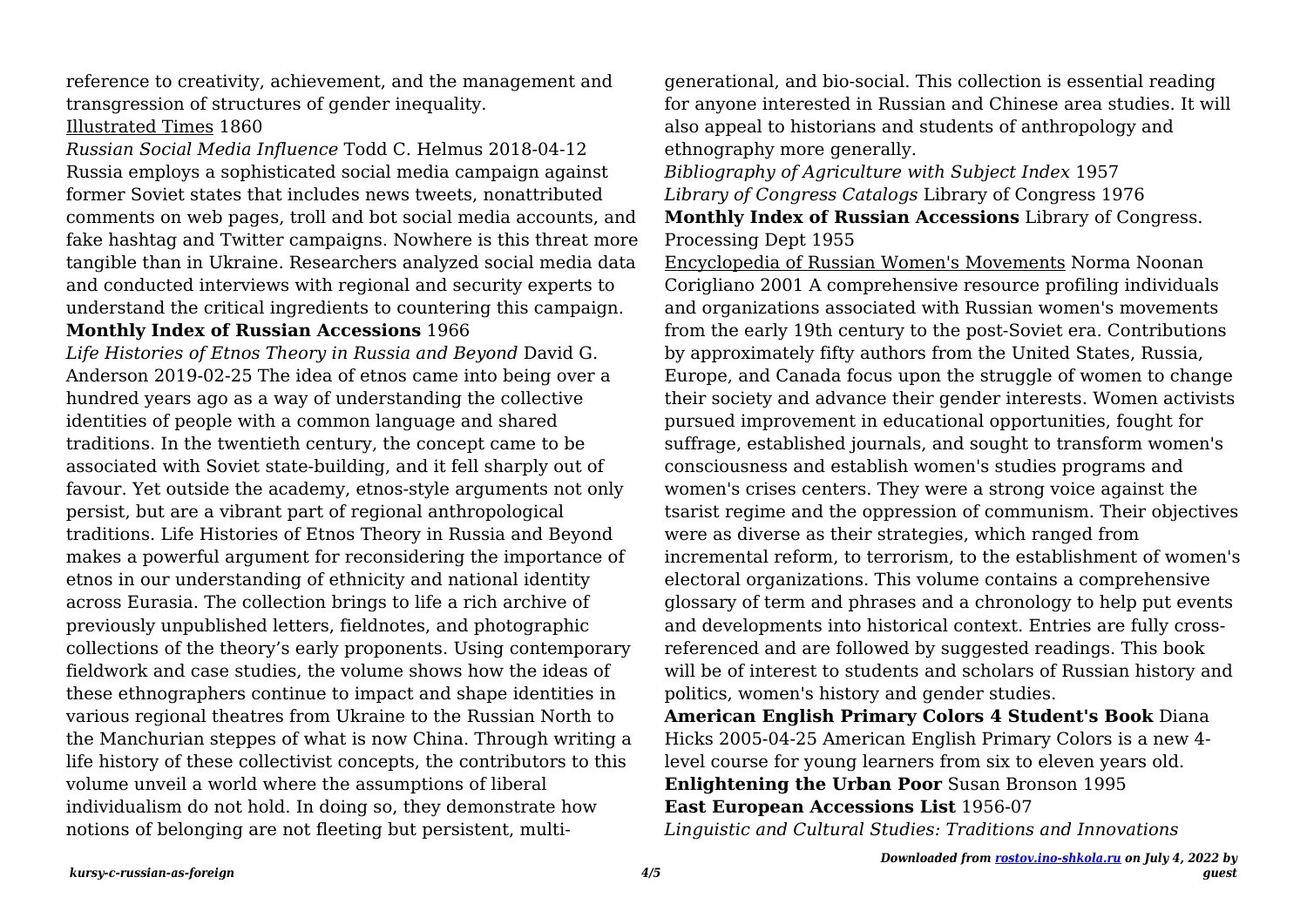reference to creativity, achievement, and the management and transgression of structures of gender inequality. Illustrated Times 1860

*Russian Social Media Influence* Todd C. Helmus 2018-04-12 Russia employs a sophisticated social media campaign against former Soviet states that includes news tweets, nonattributed comments on web pages, troll and bot social media accounts, and fake hashtag and Twitter campaigns. Nowhere is this threat more tangible than in Ukraine. Researchers analyzed social media data and conducted interviews with regional and security experts to understand the critical ingredients to countering this campaign.

#### **Monthly Index of Russian Accessions** 1966

*Life Histories of Etnos Theory in Russia and Beyond* David G. Anderson 2019-02-25 The idea of etnos came into being over a hundred years ago as a way of understanding the collective identities of people with a common language and shared traditions. In the twentieth century, the concept came to be associated with Soviet state-building, and it fell sharply out of favour. Yet outside the academy, etnos-style arguments not only persist, but are a vibrant part of regional anthropological traditions. Life Histories of Etnos Theory in Russia and Beyond makes a powerful argument for reconsidering the importance of etnos in our understanding of ethnicity and national identity across Eurasia. The collection brings to life a rich archive of previously unpublished letters, fieldnotes, and photographic collections of the theory's early proponents. Using contemporary fieldwork and case studies, the volume shows how the ideas of these ethnographers continue to impact and shape identities in various regional theatres from Ukraine to the Russian North to the Manchurian steppes of what is now China. Through writing a life history of these collectivist concepts, the contributors to this volume unveil a world where the assumptions of liberal individualism do not hold. In doing so, they demonstrate how notions of belonging are not fleeting but persistent, multigenerational, and bio-social. This collection is essential reading for anyone interested in Russian and Chinese area studies. It will also appeal to historians and students of anthropology and ethnography more generally.

*Bibliography of Agriculture with Subject Index* 1957 *Library of Congress Catalogs* Library of Congress 1976 **Monthly Index of Russian Accessions** Library of Congress. Processing Dept 1955

Encyclopedia of Russian Women's Movements Norma Noonan Corigliano 2001 A comprehensive resource profiling individuals and organizations associated with Russian women's movements from the early 19th century to the post-Soviet era. Contributions by approximately fifty authors from the United States, Russia, Europe, and Canada focus upon the struggle of women to change their society and advance their gender interests. Women activists pursued improvement in educational opportunities, fought for suffrage, established journals, and sought to transform women's consciousness and establish women's studies programs and women's crises centers. They were a strong voice against the tsarist regime and the oppression of communism. Their objectives were as diverse as their strategies, which ranged from incremental reform, to terrorism, to the establishment of women's electoral organizations. This volume contains a comprehensive glossary of term and phrases and a chronology to help put events and developments into historical context. Entries are fully crossreferenced and are followed by suggested readings. This book will be of interest to students and scholars of Russian history and politics, women's history and gender studies.

**American English Primary Colors 4 Student's Book** Diana Hicks 2005-04-25 American English Primary Colors is a new 4 level course for young learners from six to eleven years old. **Enlightening the Urban Poor** Susan Bronson 1995 **East European Accessions List** 1956-07

*Linguistic and Cultural Studies: Traditions and Innovations*